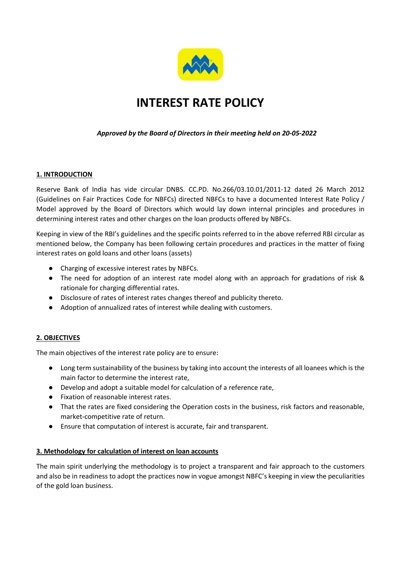

# INTEREST RATE POLICY

## Approved by the Board of Directors in their meeting held on 20-05-2022

### 1. INTRODUCTION

Reserve Bank of India has vide circular DNBS. CC.PD. No.266/03.10.01/2011-12 dated 26 March 2012 (Guidelines on Fair Practices Code for NBFCs) directed NBFCs to have a documented Interest Rate Policy / Model approved by the Board of Directors which would lay down internal principles and procedures in determining interest rates and other charges on the loan products offered by NBFCs.

Keeping in view of the RBI's guidelines and the specific points referred to in the above referred RBI circular as mentioned below, the Company has been following certain procedures and practices in the matter of fixing interest rates on gold loans and other loans (assets)

- Charging of excessive interest rates by NBFCs.
- The need for adoption of an interest rate model along with an approach for gradations of risk & rationale for charging differential rates.
- Disclosure of rates of interest rates changes thereof and publicity thereto.
- Adoption of annualized rates of interest while dealing with customers.

### 2. OBJECTIVES

The main objectives of the interest rate policy are to ensure:

- Long term sustainability of the business by taking into account the interests of all loanees which is the main factor to determine the interest rate,
- Develop and adopt a suitable model for calculation of a reference rate,
- Fixation of reasonable interest rates.
- That the rates are fixed considering the Operation costs in the business, risk factors and reasonable, market-competitive rate of return.
- Ensure that computation of interest is accurate, fair and transparent.

#### 3. Methodology for calculation of interest on loan accounts

The main spirit underlying the methodology is to project a transparent and fair approach to the customers and also be in readiness to adopt the practices now in vogue amongst NBFC's keeping in view the peculiarities of the gold loan business.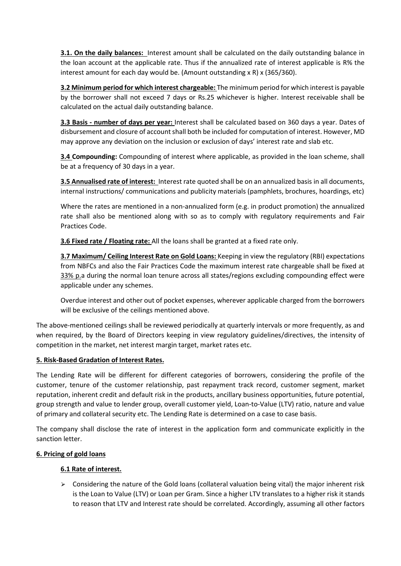3.1. On the daily balances: Interest amount shall be calculated on the daily outstanding balance in the loan account at the applicable rate. Thus if the annualized rate of interest applicable is R% the interest amount for each day would be. (Amount outstanding x R) x (365/360).

3.2 Minimum period for which interest chargeable: The minimum period for which interest is payable by the borrower shall not exceed 7 days or Rs.25 whichever is higher. Interest receivable shall be calculated on the actual daily outstanding balance.

3.3 Basis - number of days per year: Interest shall be calculated based on 360 days a year. Dates of disbursement and closure of account shall both be included for computation of interest. However, MD may approve any deviation on the inclusion or exclusion of days' interest rate and slab etc.

3.4 Compounding: Compounding of interest where applicable, as provided in the loan scheme, shall be at a frequency of 30 days in a year.

3.5 Annualised rate of interest: Interest rate quoted shall be on an annualized basis in all documents, internal instructions/ communications and publicity materials (pamphlets, brochures, hoardings, etc)

Where the rates are mentioned in a non-annualized form (e.g. in product promotion) the annualized rate shall also be mentioned along with so as to comply with regulatory requirements and Fair Practices Code.

3.6 Fixed rate / Floating rate: All the loans shall be granted at a fixed rate only.

3.7 Maximum/ Ceiling Interest Rate on Gold Loans: Keeping in view the regulatory (RBI) expectations from NBFCs and also the Fair Practices Code the maximum interest rate chargeable shall be fixed at 33% p.a during the normal loan tenure across all states/regions excluding compounding effect were applicable under any schemes.

Overdue interest and other out of pocket expenses, wherever applicable charged from the borrowers will be exclusive of the ceilings mentioned above.

The above-mentioned ceilings shall be reviewed periodically at quarterly intervals or more frequently, as and when required, by the Board of Directors keeping in view regulatory guidelines/directives, the intensity of competition in the market, net interest margin target, market rates etc.

### 5. Risk-Based Gradation of Interest Rates.

The Lending Rate will be different for different categories of borrowers, considering the profile of the customer, tenure of the customer relationship, past repayment track record, customer segment, market reputation, inherent credit and default risk in the products, ancillary business opportunities, future potential, group strength and value to lender group, overall customer yield, Loan-to-Value (LTV) ratio, nature and value of primary and collateral security etc. The Lending Rate is determined on a case to case basis.

The company shall disclose the rate of interest in the application form and communicate explicitly in the sanction letter.

### 6. Pricing of gold loans

### 6.1 Rate of interest.

 $\triangleright$  Considering the nature of the Gold loans (collateral valuation being vital) the major inherent risk is the Loan to Value (LTV) or Loan per Gram. Since a higher LTV translates to a higher risk it stands to reason that LTV and Interest rate should be correlated. Accordingly, assuming all other factors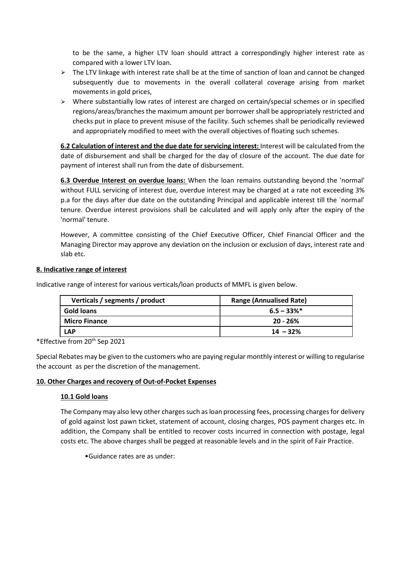to be the same, a higher LTV loan should attract a correspondingly higher interest rate as compared with a lower LTV loan.

- $\triangleright$  The LTV linkage with interest rate shall be at the time of sanction of loan and cannot be changed subsequently due to movements in the overall collateral coverage arising from market movements in gold prices,
- ⮚ Where substantially low rates of interest are charged on certain/special schemes or in specified regions/areas/branches the maximum amount per borrower shall be appropriately restricted and checks put in place to prevent misuse of the facility. Such schemes shall be periodically reviewed and appropriately modified to meet with the overall objectives of floating such schemes.

6.2 Calculation of interest and the due date for servicing interest: Interest will be calculated from the date of disbursement and shall be charged for the day of closure of the account. The due date for payment of interest shall run from the date of disbursement.

6.3 Overdue Interest on overdue loans: When the loan remains outstanding beyond the 'normal' without FULL servicing of interest due, overdue interest may be charged at a rate not exceeding 3% p.a for the days after due date on the outstanding Principal and applicable interest till the `normal' tenure. Overdue interest provisions shall be calculated and will apply only after the expiry of the 'normal' tenure.

However, A committee consisting of the Chief Executive Officer, Chief Financial Officer and the Managing Director may approve any deviation on the inclusion or exclusion of days, interest rate and slab etc.

### 8. Indicative range of interest

Indicative range of interest for various verticals/loan products of MMFL is given below.

| Verticals / segments / product | <b>Range (Annualised Rate)</b> |  |
|--------------------------------|--------------------------------|--|
| <b>Gold loans</b>              | $6.5 - 33\%$ <sup>*</sup>      |  |
| <b>Micro Finance</b>           | $20 - 26%$                     |  |
| <b>LAP</b>                     | $14 - 32%$                     |  |

\*Effective from 20th Sep 2021

Special Rebates may be given to the customers who are paying regular monthly interest or willing to regularise the account as per the discretion of the management.

### 10. Other Charges and recovery of Out-of-Pocket Expenses

### 10.1 Gold loans

The Company may also levy other charges such as loan processing fees, processing charges for delivery of gold against lost pawn ticket, statement of account, closing charges, POS payment charges etc. In addition, the Company shall be entitled to recover costs incurred in connection with postage, legal costs etc. The above charges shall be pegged at reasonable levels and in the spirit of Fair Practice.

•Guidance rates are as under: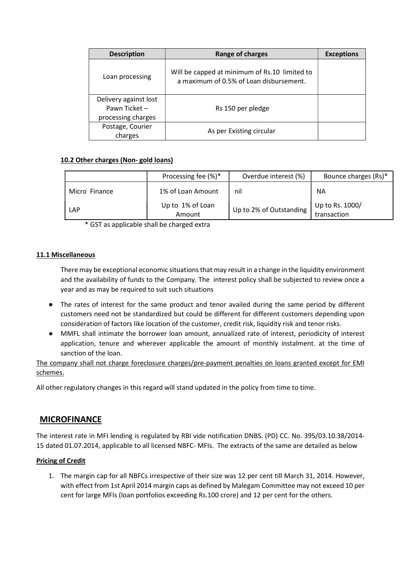| <b>Description</b>                                           | Range of charges                                                                         | <b>Exceptions</b> |
|--------------------------------------------------------------|------------------------------------------------------------------------------------------|-------------------|
| Loan processing                                              | Will be capped at minimum of Rs.10 limited to<br>a maximum of 0.5% of Loan disbursement. |                   |
| Delivery against lost<br>Pawn Ticket -<br>processing charges | Rs 150 per pledge                                                                        |                   |
| Postage, Courier<br>charges                                  | As per Existing circular                                                                 |                   |

### 10.2 Other charges (Non- gold loans)

|               | Processing fee $(\%)^*$    | Overdue interest (%)    | Bounce charges (Rs)*           |
|---------------|----------------------------|-------------------------|--------------------------------|
| Micro Finance | 1% of Loan Amount          | nil                     | ΝA                             |
| LAP           | Up to 1% of Loan<br>Amount | Up to 2% of Outstanding | Up to Rs. 1000/<br>transaction |

\* GST as applicable shall be charged extra

### 11.1 Miscellaneous

There may be exceptional economic situations that may result in a change in the liquidity environment and the availability of funds to the Company. The interest policy shall be subjected to review once a year and as may be required to suit such situations

- The rates of interest for the same product and tenor availed during the same period by different customers need not be standardized but could be different for different customers depending upon consideration of factors like location of the customer, credit risk, liquidity risk and tenor risks.
- MMFL shall intimate the borrower loan amount, annualized rate of interest, periodicity of interest application, tenure and wherever applicable the amount of monthly instalment. at the time of sanction of the loan.

The company shall not charge foreclosure charges/pre-payment penalties on loans granted except for EMI schemes.

All other regulatory changes in this regard will stand updated in the policy from time to time.

# MICROFINANCE

The interest rate in MFI lending is regulated by RBI vide notification DNBS. (PD) CC. No. 395/03.10.38/2014- 15 dated 01.07.2014, applicable to all licensed NBFC- MFIs. The extracts of the same are detailed as below

#### Pricing of Credit

1. The margin cap for all NBFCs irrespective of their size was 12 per cent till March 31, 2014. However, with effect from 1st April 2014 margin caps as defined by Malegam Committee may not exceed 10 per cent for large MFIs (loan portfolios exceeding Rs.100 crore) and 12 per cent for the others.